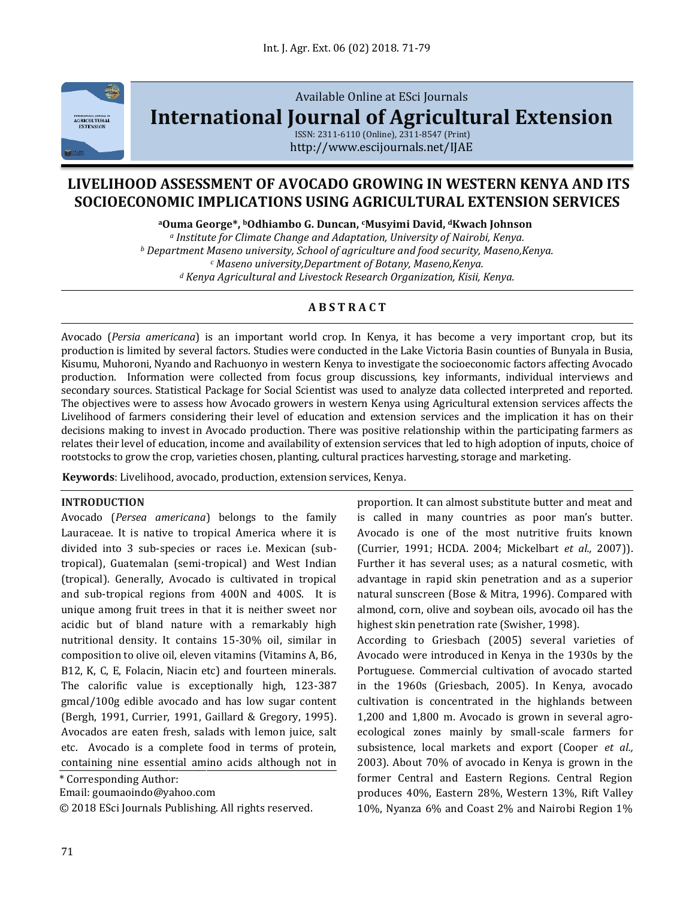

# Available Online at ESci Journals **[International Journal of Agricultural Extension](http://www.escijournals.net/IJER)**

ISSN: 2311-6110 (Online), 2311-8547 (Print) http://www.escijournals.net/IJAE

## **LIVELIHOOD ASSESSMENT OF AVOCADO GROWING IN WESTERN KENYA AND ITS SOCIOECONOMIC IMPLICATIONS USING AGRICULTURAL EXTENSION SERVICES**

**<sup>a</sup>Ouma George\*, <sup>b</sup>Odhiambo G. Duncan, <sup>c</sup>Musyimi David, <sup>d</sup>Kwach Johnson**

*<sup>a</sup> Institute for Climate Change and Adaptation, University of Nairobi, Kenya. <sup>b</sup> Department Maseno university, School of agriculture and food security, Maseno,Kenya. <sup>c</sup> Maseno university,Department of Botany, Maseno,Kenya. <sup>d</sup> Kenya Agricultural and Livestock Research Organization, Kisii, Kenya.*

## **A B S T R A C T**

Avocado (*Persia americana*) is an important world crop. In Kenya, it has become a very important crop, but its production is limited by several factors. Studies were conducted in the Lake Victoria Basin counties of Bunyala in Busia, Kisumu, Muhoroni, Nyando and Rachuonyo in western Kenya to investigate the socioeconomic factors affecting Avocado production. Information were collected from focus group discussions, key informants, individual interviews and secondary sources. Statistical Package for Social Scientist was used to analyze data collected interpreted and reported. The objectives were to assess how Avocado growers in western Kenya using Agricultural extension services affects the Livelihood of farmers considering their level of education and extension services and the implication it has on their decisions making to invest in Avocado production. There was positive relationship within the participating farmers as relates their level of education, income and availability of extension services that led to high adoption of inputs, choice of rootstocks to grow the crop, varieties chosen, planting, cultural practices harvesting, storage and marketing.

**Keywords**: Livelihood, avocado, production, extension services, Kenya.

#### **INTRODUCTION**

Avocado (*Persea americana*) belongs to the family Lauraceae. It is native to tropical America where it is divided into 3 sub-species or races i.e. Mexican (subtropical), Guatemalan (semi-tropical) and West Indian (tropical). Generally, Avocado is cultivated in tropical and sub-tropical regions from 400N and 400S. It is unique among fruit trees in that it is neither sweet nor acidic but of bland nature with a remarkably high nutritional density. It contains 15-30% oil, similar in composition to olive oil, eleven vitamins (Vitamins A, B6, B12, K, C, E, Folacin, Niacin etc) and fourteen minerals. The calorific value is exceptionally high, 123-387 gmcal/100g edible avocado and has low sugar content (Bergh, 1991, Currier, 1991, Gaillard & Gregory, 1995). Avocados are eaten fresh, salads with lemon juice, salt etc. Avocado is a complete food in terms of protein, containing nine essential amino acids although not in

\* Corresponding Author:

Email: goumaoindo@yahoo.com

© 2018 ESci Journals Publishing. All rights reserved.

proportion. It can almost substitute butter and meat and is called in many countries as poor man's butter. Avocado is one of the most nutritive fruits known (Currier, 1991; HCDA. 2004; Mickelbart *et al.,* 2007)). Further it has several uses; as a natural cosmetic, with advantage in rapid skin penetration and as a superior natural sunscreen (Bose & Mitra, 1996). Compared with almond, corn, olive and soybean oils, avocado oil has the highest skin penetration rate (Swisher, 1998).

According to Griesbach (2005) several varieties of Avocado were introduced in Kenya in the 1930s by the Portuguese. Commercial cultivation of avocado started in the 1960s (Griesbach, 2005). In Kenya, avocado cultivation is concentrated in the highlands between 1,200 and 1,800 m. Avocado is grown in several agroecological zones mainly by small-scale farmers for subsistence, local markets and export (Cooper *et al.,* 2003). About 70% of avocado in Kenya is grown in the former Central and Eastern Regions. Central Region produces 40%, Eastern 28%, Western 13%, Rift Valley 10%, Nyanza 6% and Coast 2% and Nairobi Region 1%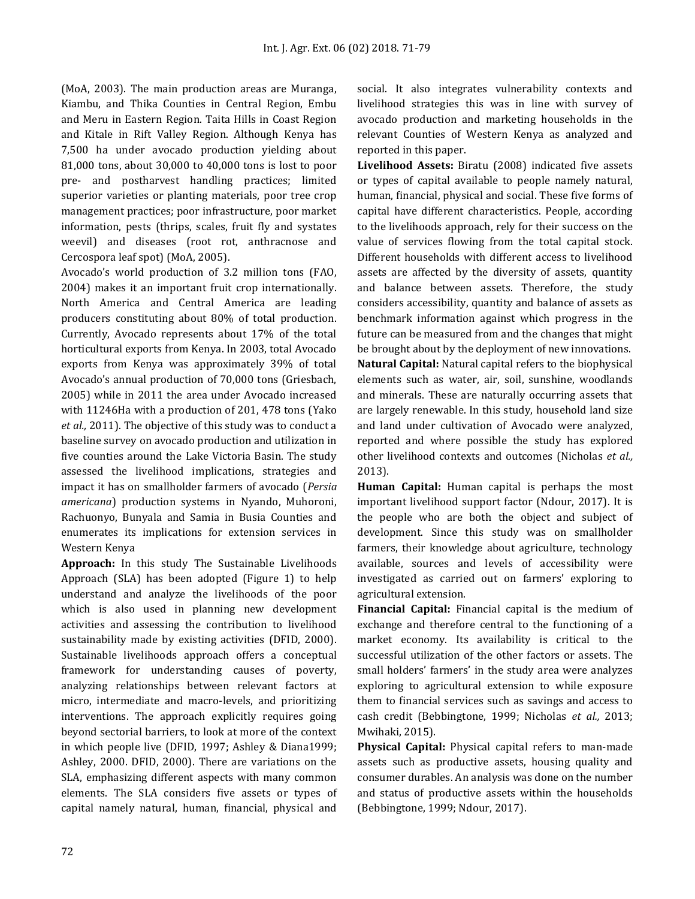(MoA, 2003). The main production areas are Muranga, Kiambu, and Thika Counties in Central Region, Embu and Meru in Eastern Region. Taita Hills in Coast Region and Kitale in Rift Valley Region. Although Kenya has 7,500 ha under avocado production yielding about 81,000 tons, about 30,000 to 40,000 tons is lost to poor pre- and postharvest handling practices; limited superior varieties or planting materials, poor tree crop management practices; poor infrastructure, poor market information, pests (thrips, scales, fruit fly and systates weevil) and diseases (root rot, anthracnose and Cercospora leaf spot) (MoA, 2005).

Avocado's world production of 3.2 million tons (FAO, 2004) makes it an important fruit crop internationally. North America and Central America are leading producers constituting about 80% of total production. Currently, Avocado represents about 17% of the total horticultural exports from Kenya. In 2003, total Avocado exports from Kenya was approximately 39% of total Avocado's annual production of 70,000 tons (Griesbach, 2005) while in 2011 the area under Avocado increased with 11246Ha with a production of 201, 478 tons (Yako *et al.,* 2011). The objective of this study was to conduct a baseline survey on avocado production and utilization in five counties around the Lake Victoria Basin. The study assessed the livelihood implications, strategies and impact it has on smallholder farmers of avocado (*Persia americana*) production systems in Nyando, Muhoroni, Rachuonyo, Bunyala and Samia in Busia Counties and enumerates its implications for extension services in Western Kenya

**Approach:** In this study The Sustainable Livelihoods Approach (SLA) has been adopted (Figure 1) to help understand and analyze the livelihoods of the poor which is also used in planning new development activities and assessing the contribution to livelihood sustainability made by existing activities (DFID, 2000). Sustainable livelihoods approach offers a conceptual framework for understanding causes of poverty, analyzing relationships between relevant factors at micro, intermediate and macro-levels, and prioritizing interventions. The approach explicitly requires going beyond sectorial barriers, to look at more of the context in which people live (DFID, 1997; Ashley & Diana1999; Ashley, 2000. DFID, 2000). There are variations on the SLA, emphasizing different aspects with many common elements. The SLA considers five assets or types of capital namely natural, human, financial, physical and

social. It also integrates vulnerability contexts and livelihood strategies this was in line with survey of avocado production and marketing households in the relevant Counties of Western Kenya as analyzed and reported in this paper.

**Livelihood Assets:** Biratu (2008) indicated five assets or types of capital available to people namely natural, human, financial, physical and social. These five forms of capital have different characteristics. People, according to the livelihoods approach, rely for their success on the value of services flowing from the total capital stock. Different households with different access to livelihood assets are affected by the diversity of assets, quantity and balance between assets. Therefore, the study considers accessibility, quantity and balance of assets as benchmark information against which progress in the future can be measured from and the changes that might be brought about by the deployment of new innovations. **Natural Capital:** Natural capital refers to the biophysical elements such as water, air, soil, sunshine, woodlands and minerals. These are naturally occurring assets that are largely renewable. In this study, household land size and land under cultivation of Avocado were analyzed, reported and where possible the study has explored other livelihood contexts and outcomes (Nicholas *et al.,* 2013).

**Human Capital:** Human capital is perhaps the most important livelihood support factor (Ndour, 2017). It is the people who are both the object and subject of development. Since this study was on smallholder farmers, their knowledge about agriculture, technology available, sources and levels of accessibility were investigated as carried out on farmers' exploring to agricultural extension.

**Financial Capital:** Financial capital is the medium of exchange and therefore central to the functioning of a market economy. Its availability is critical to the successful utilization of the other factors or assets. The small holders' farmers' in the study area were analyzes exploring to agricultural extension to while exposure them to financial services such as savings and access to cash credit (Bebbingtone, 1999; Nicholas *et al.,* 2013; Mwihaki, 2015).

**Physical Capital:** Physical capital refers to man-made assets such as productive assets, housing quality and consumer durables. An analysis was done on the number and status of productive assets within the households (Bebbingtone, 1999; Ndour, 2017).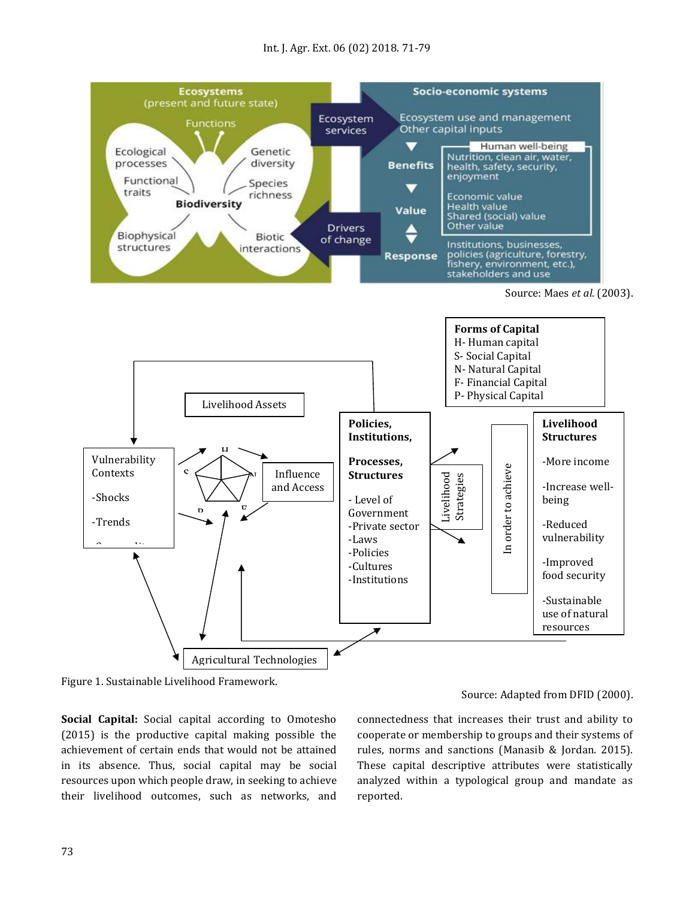

Figure 1. Sustainable Livelihood Framework.

**Social Capital:** Social capital according to Omotesho (2015) is the productive capital making possible the achievement of certain ends that would not be attained in its absence. Thus, social capital may be social resources upon which people draw, in seeking to achieve their livelihood outcomes, such as networks, and

## Source: Adapted from DFID (2000).

connectedness that increases their trust and ability to cooperate or membership to groups and their systems of rules, norms and sanctions (Manasib & Jordan. 2015). These capital descriptive attributes were statistically analyzed within a typological group and mandate as reported.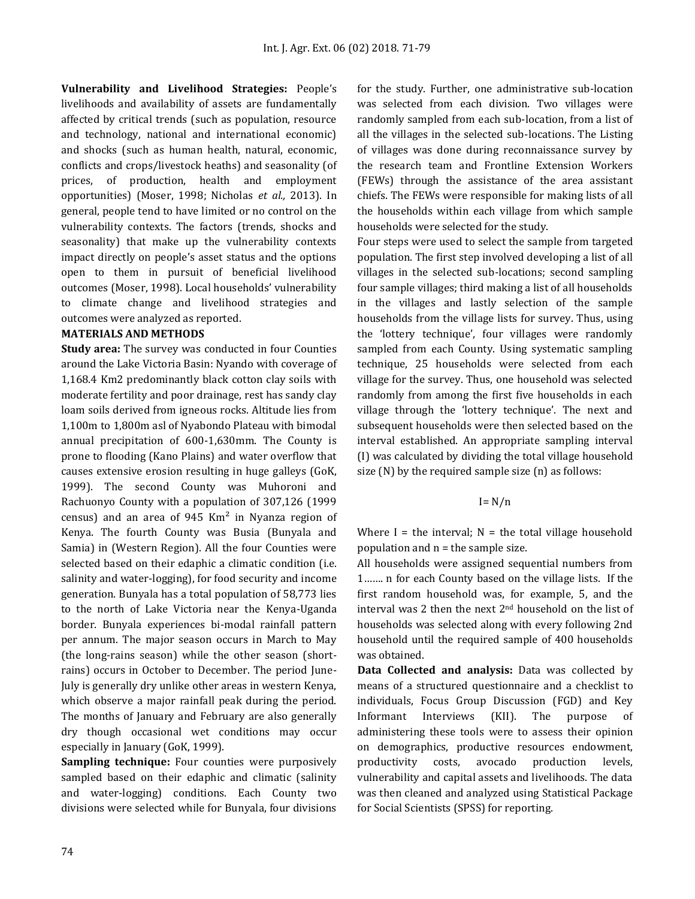**Vulnerability and Livelihood Strategies:** People's livelihoods and availability of assets are fundamentally affected by critical trends (such as population, resource and technology, national and international economic) and shocks (such as human health, natural, economic, conflicts and crops/livestock heaths) and seasonality (of prices, of production, health and employment opportunities) (Moser, 1998; Nicholas *et al.,* 2013). In general, people tend to have limited or no control on the vulnerability contexts. The factors (trends, shocks and seasonality) that make up the vulnerability contexts impact directly on people's asset status and the options open to them in pursuit of beneficial livelihood outcomes (Moser, 1998). Local households' vulnerability to climate change and livelihood strategies and outcomes were analyzed as reported.

#### **MATERIALS AND METHODS**

**Study area:** The survey was conducted in four Counties around the Lake Victoria Basin: Nyando with coverage of 1,168.4 Km2 predominantly black cotton clay soils with moderate fertility and poor drainage, rest has sandy clay loam soils derived from igneous rocks. Altitude lies from 1,100m to 1,800m asl of Nyabondo Plateau with bimodal annual precipitation of 600-1,630mm. The County is prone to flooding (Kano Plains) and water overflow that causes extensive erosion resulting in huge galleys (GoK, 1999). The second County was Muhoroni and Rachuonyo County with a population of 307,126 (1999 census) and an area of  $945 \text{ Km}^2$  in Nyanza region of Kenya. The fourth County was Busia (Bunyala and Samia) in (Western Region). All the four Counties were selected based on their edaphic a climatic condition (i.e. salinity and water-logging), for food security and income generation. Bunyala has a total population of 58,773 lies to the north of Lake Victoria near the Kenya-Uganda border. Bunyala experiences bi-modal rainfall pattern per annum. The major season occurs in March to May (the long-rains season) while the other season (shortrains) occurs in October to December. The period June-July is generally dry unlike other areas in western Kenya, which observe a major rainfall peak during the period. The months of January and February are also generally dry though occasional wet conditions may occur especially in January (GoK, 1999).

**Sampling technique:** Four counties were purposively sampled based on their edaphic and climatic (salinity and water-logging) conditions. Each County two divisions were selected while for Bunyala, four divisions for the study. Further, one administrative sub-location was selected from each division. Two villages were randomly sampled from each sub-location, from a list of all the villages in the selected sub-locations. The Listing of villages was done during reconnaissance survey by the research team and Frontline Extension Workers (FEWs) through the assistance of the area assistant chiefs. The FEWs were responsible for making lists of all the households within each village from which sample households were selected for the study.

Four steps were used to select the sample from targeted population. The first step involved developing a list of all villages in the selected sub-locations; second sampling four sample villages; third making a list of all households in the villages and lastly selection of the sample households from the village lists for survey. Thus, using the 'lottery technique', four villages were randomly sampled from each County. Using systematic sampling technique, 25 households were selected from each village for the survey. Thus, one household was selected randomly from among the first five households in each village through the 'lottery technique'. The next and subsequent households were then selected based on the interval established. An appropriate sampling interval (I) was calculated by dividing the total village household size (N) by the required sample size (n) as follows:

#### $I = N/n$

Where I = the interval;  $N =$  the total village household population and  $n =$  the sample size.

All households were assigned sequential numbers from 1……. n for each County based on the village lists. If the first random household was, for example, 5, and the interval was 2 then the next 2nd household on the list of households was selected along with every following 2nd household until the required sample of 400 households was obtained.

**Data Collected and analysis:** Data was collected by means of a structured questionnaire and a checklist to individuals, Focus Group Discussion (FGD) and Key Informant Interviews (KII). The purpose of administering these tools were to assess their opinion on demographics, productive resources endowment, productivity costs, avocado production levels, vulnerability and capital assets and livelihoods. The data was then cleaned and analyzed using Statistical Package for Social Scientists (SPSS) for reporting.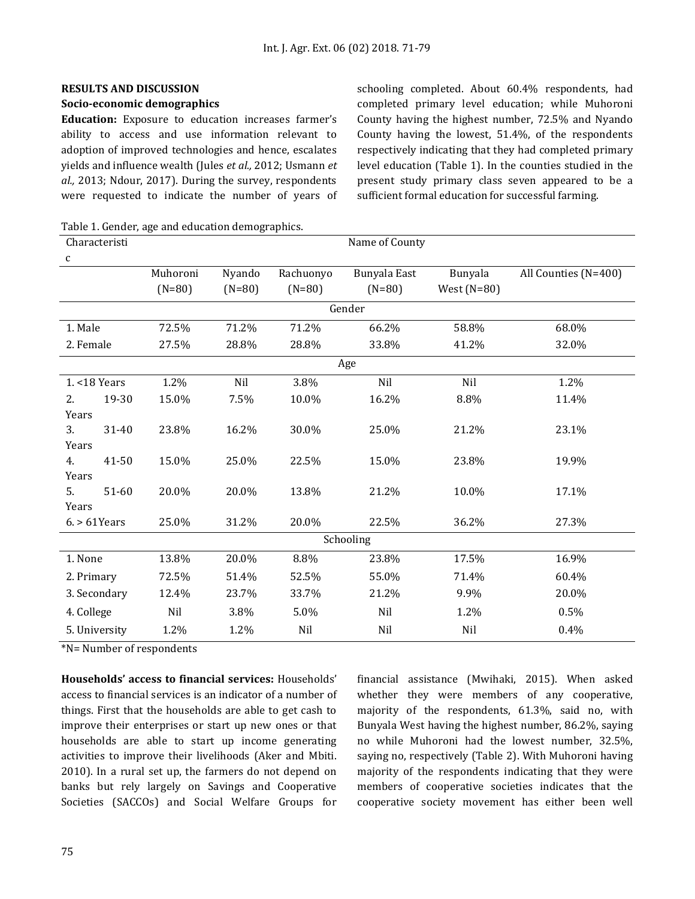#### **Socio-economic demographics**

**Education:** Exposure to education increases farmer's ability to access and use information relevant to adoption of improved technologies and hence, escalates yields and influence wealth (Jules *et al.,* 2012; Usmann *et al.,* 2013; Ndour, 2017). During the survey, respondents were requested to indicate the number of years of schooling completed. About 60.4% respondents, had completed primary level education; while Muhoroni County having the highest number, 72.5% and Nyando County having the lowest, 51.4%, of the respondents respectively indicating that they had completed primary level education (Table 1). In the counties studied in the present study primary class seven appeared to be a sufficient formal education for successful farming.

Table 1. Gender, age and education demographics.

| Characteristi   |       | Name of County |          |           |              |               |                      |  |  |
|-----------------|-------|----------------|----------|-----------|--------------|---------------|----------------------|--|--|
| c               |       |                |          |           |              |               |                      |  |  |
|                 |       | Muhoroni       | Nyando   | Rachuonyo | Bunyala East | Bunyala       | All Counties (N=400) |  |  |
|                 |       | $(N=80)$       | $(N=80)$ | $(N=80)$  | $(N=80)$     | West $(N=80)$ |                      |  |  |
| Gender          |       |                |          |           |              |               |                      |  |  |
| 1. Male         |       | 72.5%          | 71.2%    | 71.2%     | 66.2%        | 58.8%         | 68.0%                |  |  |
| 2. Female       |       | 27.5%          | 28.8%    | 28.8%     | 33.8%        | 41.2%         | 32.0%                |  |  |
| Age             |       |                |          |           |              |               |                      |  |  |
| 1. < 18 Years   |       | 1.2%           | Nil      | 3.8%      | Nil          | Nil           | 1.2%                 |  |  |
| 2.              | 19-30 | 15.0%          | 7.5%     | 10.0%     | 16.2%        | 8.8%          | 11.4%                |  |  |
| Years           |       |                |          |           |              |               |                      |  |  |
| 3.              | 31-40 | 23.8%          | 16.2%    | 30.0%     | 25.0%        | 21.2%         | 23.1%                |  |  |
| Years           |       |                |          |           |              |               |                      |  |  |
| 4.              | 41-50 | 15.0%          | 25.0%    | 22.5%     | 15.0%        | 23.8%         | 19.9%                |  |  |
| Years           |       |                |          |           |              |               |                      |  |  |
| 5.              | 51-60 | 20.0%          | 20.0%    | 13.8%     | 21.2%        | 10.0%         | 17.1%                |  |  |
| Years           |       |                |          |           |              |               |                      |  |  |
| $6. > 61$ Years |       | 25.0%          | 31.2%    | 20.0%     | 22.5%        | 36.2%         | 27.3%                |  |  |
| Schooling       |       |                |          |           |              |               |                      |  |  |
| 1. None         |       | 13.8%          | 20.0%    | 8.8%      | 23.8%        | 17.5%         | 16.9%                |  |  |
| 2. Primary      |       | 72.5%          | 51.4%    | 52.5%     | 55.0%        | 71.4%         | 60.4%                |  |  |
| 3. Secondary    |       | 12.4%          | 23.7%    | 33.7%     | 21.2%        | 9.9%          | 20.0%                |  |  |
| 4. College      |       | Nil            | 3.8%     | 5.0%      | Nil          | 1.2%          | 0.5%                 |  |  |
| 5. University   |       | 1.2%           | 1.2%     | Nil       | Nil          | Nil           | 0.4%                 |  |  |

\*N= Number of respondents

**Households' access to financial services:** Households' access to financial services is an indicator of a number of things. First that the households are able to get cash to improve their enterprises or start up new ones or that households are able to start up income generating activities to improve their livelihoods (Aker and Mbiti. 2010). In a rural set up, the farmers do not depend on banks but rely largely on Savings and Cooperative Societies (SACCOs) and Social Welfare Groups for

financial assistance (Mwihaki, 2015). When asked whether they were members of any cooperative, majority of the respondents, 61.3%, said no, with Bunyala West having the highest number, 86.2%, saying no while Muhoroni had the lowest number, 32.5%, saying no, respectively (Table 2). With Muhoroni having majority of the respondents indicating that they were members of cooperative societies indicates that the cooperative society movement has either been well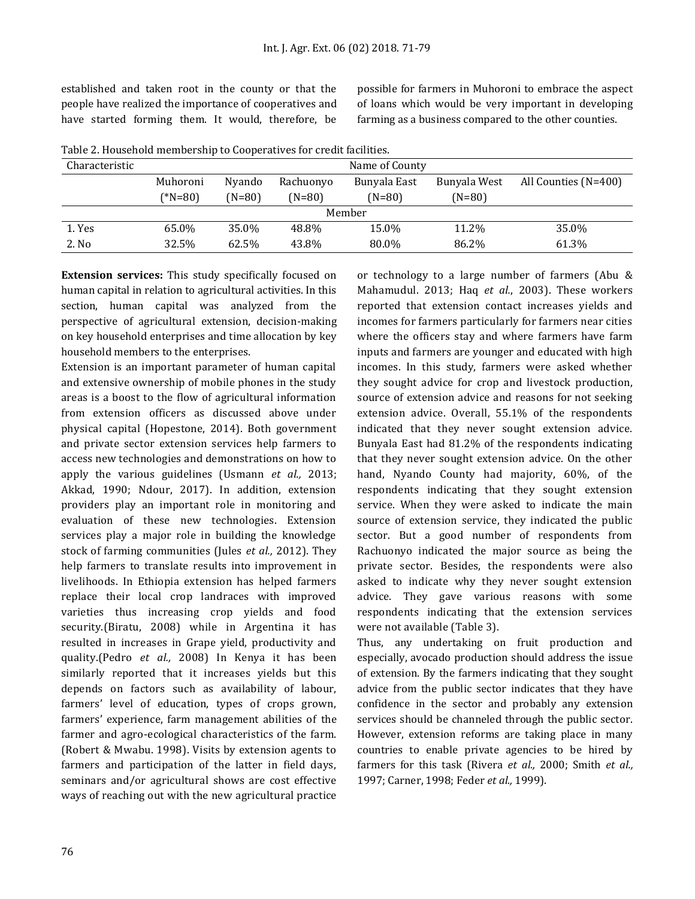established and taken root in the county or that the people have realized the importance of cooperatives and have started forming them. It would, therefore, be

possible for farmers in Muhoroni to embrace the aspect of loans which would be very important in developing farming as a business compared to the other counties.

| Characteristic | Name of County |          |           |              |              |                      |  |  |  |
|----------------|----------------|----------|-----------|--------------|--------------|----------------------|--|--|--|
|                | Muhoroni       | Nyando   | Rachuonyo | Bunyala East | Bunyala West | All Counties (N=400) |  |  |  |
|                | (*N=80)        | $(N=80)$ | (N=80)    | $(N=80)$     | $(N=80)$     |                      |  |  |  |
| Member         |                |          |           |              |              |                      |  |  |  |
| 1. Yes         | 65.0%          | 35.0%    | 48.8%     | 15.0%        | 11.2%        | 35.0%                |  |  |  |
| 2. No          | 32.5%          | 62.5%    | 43.8%     | 80.0%        | 86.2%        | 61.3%                |  |  |  |

Table 2. Household membership to Cooperatives for credit facilities.

**Extension services:** This study specifically focused on human capital in relation to agricultural activities. In this section, human capital was analyzed from the perspective of agricultural extension, decision-making on key household enterprises and time allocation by key household members to the enterprises.

Extension is an important parameter of human capital and extensive ownership of mobile phones in the study areas is a boost to the flow of agricultural information from extension officers as discussed above under physical capital (Hopestone, 2014). Both government and private sector extension services help farmers to access new technologies and demonstrations on how to apply the various guidelines (Usmann *et al.,* 2013; Akkad, 1990; Ndour, 2017). In addition, extension providers play an important role in monitoring and evaluation of these new technologies. Extension services play a major role in building the knowledge stock of farming communities (Jules *et al.,* 2012). They help farmers to translate results into improvement in livelihoods. In Ethiopia extension has helped farmers replace their local crop landraces with improved varieties thus increasing crop yields and food security.(Biratu, 2008) while in Argentina it has resulted in increases in Grape yield, productivity and quality.(Pedro *et al.,* 2008) In Kenya it has been similarly reported that it increases yields but this depends on factors such as availability of labour, farmers' level of education, types of crops grown, farmers' experience, farm management abilities of the farmer and agro-ecological characteristics of the farm. (Robert & Mwabu. 1998). Visits by extension agents to farmers and participation of the latter in field days, seminars and/or agricultural shows are cost effective ways of reaching out with the new agricultural practice or technology to a large number of farmers (Abu & Mahamudul. 2013; Haq *et al.*, 2003). These workers reported that extension contact increases yields and incomes for farmers particularly for farmers near cities where the officers stay and where farmers have farm inputs and farmers are younger and educated with high incomes. In this study, farmers were asked whether they sought advice for crop and livestock production, source of extension advice and reasons for not seeking extension advice. Overall, 55.1% of the respondents indicated that they never sought extension advice. Bunyala East had 81.2% of the respondents indicating that they never sought extension advice. On the other hand, Nyando County had majority, 60%, of the respondents indicating that they sought extension service. When they were asked to indicate the main source of extension service, they indicated the public sector. But a good number of respondents from Rachuonyo indicated the major source as being the private sector. Besides, the respondents were also asked to indicate why they never sought extension advice. They gave various reasons with some respondents indicating that the extension services were not available (Table 3).

Thus, any undertaking on fruit production and especially, avocado production should address the issue of extension. By the farmers indicating that they sought advice from the public sector indicates that they have confidence in the sector and probably any extension services should be channeled through the public sector. However, extension reforms are taking place in many countries to enable private agencies to be hired by farmers for this task (Rivera *et al.,* 2000; Smith *et al.,* 1997; Carner, 1998; Feder *et al.,* 1999).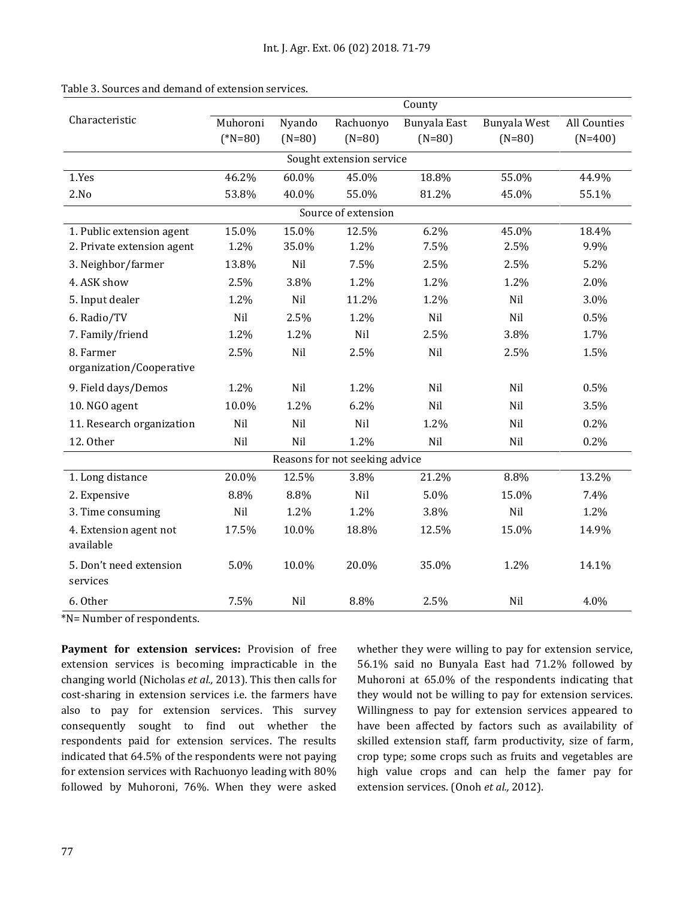|                                     | County                |                    |                       |                          |                          |                           |  |  |
|-------------------------------------|-----------------------|--------------------|-----------------------|--------------------------|--------------------------|---------------------------|--|--|
| Characteristic                      | Muhoroni<br>$(*N=80)$ | Nyando<br>$(N=80)$ | Rachuonyo<br>$(N=80)$ | Bunyala East<br>$(N=80)$ | Bunyala West<br>$(N=80)$ | All Counties<br>$(N=400)$ |  |  |
|                                     |                       |                    |                       |                          |                          |                           |  |  |
| Sought extension service            |                       |                    |                       |                          |                          |                           |  |  |
| 1.Yes                               | 46.2%                 | 60.0%              | 45.0%                 | 18.8%                    | 55.0%                    | 44.9%                     |  |  |
| 2.No                                | 53.8%                 | 40.0%              | 55.0%                 | 81.2%                    | 45.0%                    | 55.1%                     |  |  |
| Source of extension                 |                       |                    |                       |                          |                          |                           |  |  |
| 1. Public extension agent           | 15.0%                 | 15.0%              | 12.5%                 | 6.2%                     | 45.0%                    | 18.4%                     |  |  |
| 2. Private extension agent          | 1.2%                  | 35.0%              | 1.2%                  | 7.5%                     | 2.5%                     | 9.9%                      |  |  |
| 3. Neighbor/farmer                  | 13.8%                 | Nil                | 7.5%                  | 2.5%                     | 2.5%                     | 5.2%                      |  |  |
| 4. ASK show                         | 2.5%                  | 3.8%               | 1.2%                  | 1.2%                     | 1.2%                     | 2.0%                      |  |  |
| 5. Input dealer                     | 1.2%                  | Nil                | 11.2%                 | 1.2%                     | Nil                      | 3.0%                      |  |  |
| 6. Radio/TV                         | Nil                   | 2.5%               | 1.2%                  | Nil                      | Nil                      | 0.5%                      |  |  |
| 7. Family/friend                    | 1.2%                  | 1.2%               | Nil                   | 2.5%                     | 3.8%                     | 1.7%                      |  |  |
| 8. Farmer                           | 2.5%                  | Nil                | 2.5%                  | Nil                      | 2.5%                     | 1.5%                      |  |  |
| organization/Cooperative            |                       |                    |                       |                          |                          |                           |  |  |
| 9. Field days/Demos                 | 1.2%                  | Nil                | 1.2%                  | Nil                      | Nil                      | 0.5%                      |  |  |
| 10. NGO agent                       | 10.0%                 | 1.2%               | 6.2%                  | Nil                      | Nil                      | 3.5%                      |  |  |
| 11. Research organization           | Nil                   | Nil                | Nil                   | 1.2%                     | Nil                      | 0.2%                      |  |  |
| 12. Other                           | Nil                   | Nil                | 1.2%                  | Nil                      | Nil                      | 0.2%                      |  |  |
| Reasons for not seeking advice      |                       |                    |                       |                          |                          |                           |  |  |
| 1. Long distance                    | 20.0%                 | 12.5%              | 3.8%                  | 21.2%                    | 8.8%                     | 13.2%                     |  |  |
| 2. Expensive                        | 8.8%                  | 8.8%               | Nil                   | 5.0%                     | 15.0%                    | 7.4%                      |  |  |
| 3. Time consuming                   | Nil                   | 1.2%               | 1.2%                  | 3.8%                     | Nil                      | 1.2%                      |  |  |
| 4. Extension agent not<br>available | 17.5%                 | 10.0%              | 18.8%                 | 12.5%                    | 15.0%                    | 14.9%                     |  |  |
| 5. Don't need extension<br>services | 5.0%                  | 10.0%              | 20.0%                 | 35.0%                    | 1.2%                     | 14.1%                     |  |  |
| 6. Other                            | 7.5%                  | Nil                | 8.8%                  | 2.5%                     | Nil                      | 4.0%                      |  |  |

Table 3. Sources and demand of extension services.

\*N= Number of respondents.

**Payment for extension services:** Provision of free extension services is becoming impracticable in the changing world (Nicholas *et al.,* 2013). This then calls for cost-sharing in extension services i.e. the farmers have also to pay for extension services. This survey consequently sought to find out whether the respondents paid for extension services. The results indicated that 64.5% of the respondents were not paying for extension services with Rachuonyo leading with 80% followed by Muhoroni, 76%. When they were asked

whether they were willing to pay for extension service, 56.1% said no Bunyala East had 71.2% followed by Muhoroni at 65.0% of the respondents indicating that they would not be willing to pay for extension services. Willingness to pay for extension services appeared to have been affected by factors such as availability of skilled extension staff, farm productivity, size of farm, crop type; some crops such as fruits and vegetables are high value crops and can help the famer pay for extension services. (Onoh *et al.,* 2012).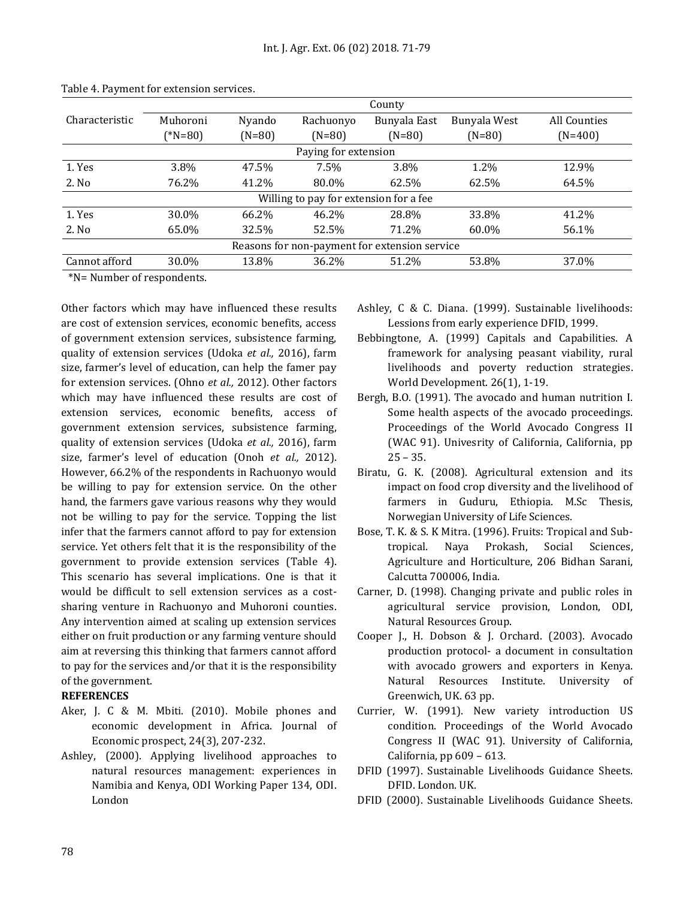|                                                  |               | County   |           |              |              |              |  |  |  |
|--------------------------------------------------|---------------|----------|-----------|--------------|--------------|--------------|--|--|--|
| Characteristic                                   | Muhoroni      | Nyando   | Rachuonyo | Bunyala East | Bunyala West | All Counties |  |  |  |
|                                                  | $(*N=80)$     | $(N=80)$ | $(N=80)$  | $(N=80)$     | $(N=80)$     | $(N=400)$    |  |  |  |
| Paying for extension                             |               |          |           |              |              |              |  |  |  |
| 1. Yes                                           | 3.8%          | 47.5%    | $7.5\%$   | 3.8%         | 1.2%         | 12.9%        |  |  |  |
| 2. No                                            | 76.2%         | 41.2%    | 80.0%     | 62.5%        | 62.5%        | 64.5%        |  |  |  |
| Willing to pay for extension for a fee           |               |          |           |              |              |              |  |  |  |
| 1. Yes                                           | 30.0%         | 66.2%    | 46.2%     | 28.8%        | 33.8%        | 41.2%        |  |  |  |
| 2. No                                            | 65.0%         | 32.5%    | 52.5%     | 71.2%        | 60.0%        | 56.1%        |  |  |  |
| Reasons for non-payment for extension service    |               |          |           |              |              |              |  |  |  |
| Cannot afford                                    | 30.0%         | 13.8%    | 36.2%     | 51.2%        | 53.8%        | 37.0%        |  |  |  |
| $\sim$ $\sim$ $\sim$ $\sim$ $\sim$ $\sim$ $\sim$ | $\sim$ $\sim$ |          |           |              |              |              |  |  |  |

Table 4. Payment for extension services.

\*N= Number of respondents.

Other factors which may have influenced these results are cost of extension services, economic benefits, access of government extension services, subsistence farming, quality of extension services (Udoka *et al.,* 2016), farm size, farmer's level of education, can help the famer pay for extension services. (Ohno *et al.,* 2012). Other factors which may have influenced these results are cost of extension services, economic benefits, access of government extension services, subsistence farming, quality of extension services (Udoka *et al.,* 2016), farm size, farmer's level of education (Onoh *et al.,* 2012). However, 66.2% of the respondents in Rachuonyo would be willing to pay for extension service. On the other hand, the farmers gave various reasons why they would not be willing to pay for the service. Topping the list infer that the farmers cannot afford to pay for extension service. Yet others felt that it is the responsibility of the government to provide extension services (Table 4). This scenario has several implications. One is that it would be difficult to sell extension services as a costsharing venture in Rachuonyo and Muhoroni counties. Any intervention aimed at scaling up extension services either on fruit production or any farming venture should aim at reversing this thinking that farmers cannot afford to pay for the services and/or that it is the responsibility of the government.

## **REFERENCES**

- Aker, J. C & M. Mbiti. (2010). Mobile phones and economic development in Africa. Journal of Economic prospect, 24(3), 207-232.
- Ashley, (2000). Applying livelihood approaches to natural resources management: experiences in Namibia and Kenya, ODI Working Paper 134, ODI. London
- Ashley, C & C. Diana. (1999). Sustainable livelihoods: Lessions from early experience DFID, 1999.
- Bebbingtone, A. (1999) Capitals and Capabilities. A framework for analysing peasant viability, rural livelihoods and poverty reduction strategies. World Development. 26(1), 1-19.
- Bergh, B.O. (1991). The avocado and human nutrition I. Some health aspects of the avocado proceedings. Proceedings of the World Avocado Congress II (WAC 91). Univesrity of California, California, pp  $25 - 35.$
- Biratu, G. K. (2008). Agricultural extension and its impact on food crop diversity and the livelihood of farmers in Guduru, Ethiopia. M.Sc Thesis, Norwegian University of Life Sciences.
- Bose, T. K. & S. K Mitra. (1996). Fruits: Tropical and Subtropical. Naya Prokash, Social Sciences, Agriculture and Horticulture, 206 Bidhan Sarani, Calcutta 700006, India.
- Carner, D. (1998). Changing private and public roles in agricultural service provision, London, ODI, Natural Resources Group.
- Cooper J., H. Dobson & J. Orchard. (2003). Avocado production protocol- a document in consultation with avocado growers and exporters in Kenya. Natural Resources Institute. University of Greenwich, UK. 63 pp.
- Currier, W. (1991). New variety introduction US condition. Proceedings of the World Avocado Congress II (WAC 91). University of California, California, pp 609 – 613.
- DFID (1997). Sustainable Livelihoods Guidance Sheets. DFID. London. UK.
- DFID (2000). Sustainable Livelihoods Guidance Sheets.